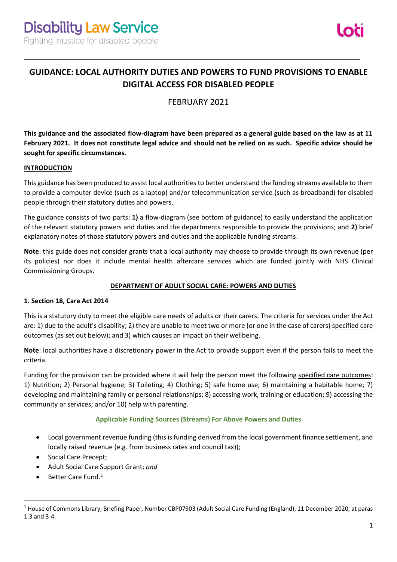# **GUIDANCE: LOCAL AUTHORITY DUTIES AND POWERS TO FUND PROVISIONS TO ENABLE DIGITAL ACCESS FOR DISABLED PEOPLE**

FEBRUARY 2021

**This guidance and the associated flow-diagram have been prepared as a general guide based on the law as at 11 February 2021. It does not constitute legal advice and should not be relied on as such. Specific advice should be sought for specific circumstances.**

## **INTRODUCTION**

This guidance has been produced to assist local authorities to better understand the funding streams available to them to provide a computer device (such as a laptop) and/or telecommunication service (such as broadband) for disabled people through their statutory duties and powers.

The guidance consists of two parts: **1)** a flow-diagram (see bottom of guidance) to easily understand the application of the relevant statutory powers and duties and the departments responsible to provide the provisions; and **2)** brief explanatory notes of those statutory powers and duties and the applicable funding streams.

**Note**: this guide does not consider grants that a local authority may choose to provide through its own revenue (per its policies) nor does it include mental health aftercare services which are funded jointly with NHS Clinical Commissioning Groups.

# **DEPARTMENT OF ADULT SOCIAL CARE: POWERS AND DUTIES**

#### **1. Section 18, Care Act 2014**

This is a statutory duty to meet the eligible care needs of adults or their carers. The criteria for services under the Act are: 1) due to the adult's disability; 2) they are unable to meet two or more (or one in the case of carers) specified care outcomes (as set out below); and 3) which causes an impact on their wellbeing.

**Note**: local authorities have a discretionary power in the Act to provide support even if the person fails to meet the criteria.

Funding for the provision can be provided where it will help the person meet the following specified care outcomes: 1) Nutrition; 2) Personal hygiene; 3) Toileting; 4) Clothing; 5) safe home use; 6) maintaining a habitable home; 7) developing and maintaining family or personal relationships; 8) accessing work, training or education; 9) accessing the community or services; and/or 10) help with parenting.

# **Applicable Funding Sources (Streams) For Above Powers and Duties**

- Local government revenue funding (this is funding derived from the local government finance settlement, and locally raised revenue (e.g. from business rates and council tax));
- Social Care Precept;
- Adult Social Care Support Grant; *and*
- Better Care Fund.<sup>1</sup>

<sup>&</sup>lt;sup>1</sup> House of Commons Library, Briefing Paper, Number CBP07903 (Adult Social Care Funding (England), 11 December 2020, at paras 1.3 and 3-4.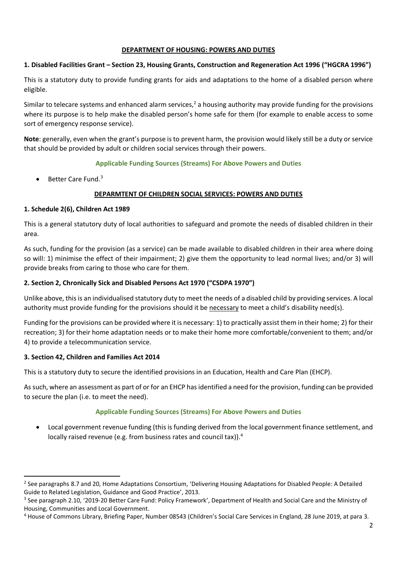## **DEPARTMENT OF HOUSING: POWERS AND DUTIES**

## **1. Disabled Facilities Grant – Section 23, Housing Grants, Construction and Regeneration Act 1996 ("HGCRA 1996")**

This is a statutory duty to provide funding grants for aids and adaptations to the home of a disabled person where eligible.

Similar to telecare systems and enhanced alarm services,<sup>2</sup> a housing authority may provide funding for the provisions where its purpose is to help make the disabled person's home safe for them (for example to enable access to some sort of emergency response service).

**Note**: generally, even when the grant's purpose is to prevent harm, the provision would likely still be a duty or service that should be provided by adult or children social services through their powers.

# **Applicable Funding Sources (Streams) For Above Powers and Duties**

• Better Care Fund.<sup>3</sup>

# **DEPARMTENT OF CHILDREN SOCIAL SERVICES: POWERS AND DUTIES**

# **1. Schedule 2(6), Children Act 1989**

This is a general statutory duty of local authorities to safeguard and promote the needs of disabled children in their area.

As such, funding for the provision (as a service) can be made available to disabled children in their area where doing so will: 1) minimise the effect of their impairment; 2) give them the opportunity to lead normal lives; and/or 3) will provide breaks from caring to those who care for them.

# **2. Section 2, Chronically Sick and Disabled Persons Act 1970 ("CSDPA 1970")**

Unlike above, this is an individualised statutory duty to meet the needs of a disabled child by providing services. A local authority must provide funding for the provisions should it be necessary to meet a child's disability need(s).

Funding for the provisions can be provided where it is necessary: 1) to practically assist them in their home; 2) for their recreation; 3) for their home adaptation needs or to make their home more comfortable/convenient to them; and/or 4) to provide a telecommunication service.

# **3. Section 42, Children and Families Act 2014**

This is a statutory duty to secure the identified provisions in an Education, Health and Care Plan (EHCP).

As such, where an assessment as part of or for an EHCP has identified a need for the provision, funding can be provided to secure the plan (i.e. to meet the need).

#### **Applicable Funding Sources (Streams) For Above Powers and Duties**

• Local government revenue funding (this is funding derived from the local government finance settlement, and locally raised revenue (e.g. from business rates and council tax)). 4

<sup>&</sup>lt;sup>2</sup> See paragraphs 8.7 and 20, Home Adaptations Consortium, 'Delivering Housing Adaptations for Disabled People: A Detailed Guide to Related Legislation, Guidance and Good Practice', 2013.

<sup>&</sup>lt;sup>3</sup> See paragraph 2.10, '2019-20 Better Care Fund: Policy Framework', Department of Health and Social Care and the Ministry of Housing, Communities and Local Government.

<sup>4</sup> House of Commons Library, Briefing Paper, Number 08543 (Children's Social Care Services in England, 28 June 2019, at para 3.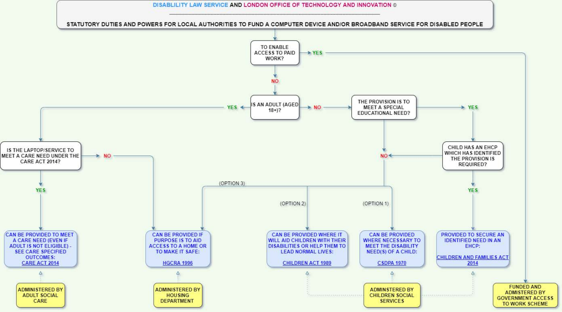DISABLILITY LAW SERVICE AND LONDON OFFICE OF TECHNOLOGY AND INNOVATION ©



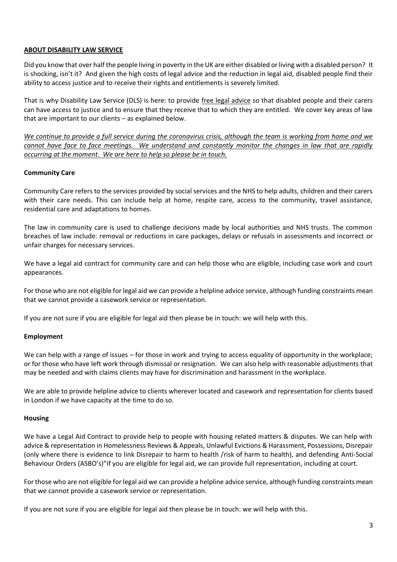## **ABOUT DISABILITY LAW SERVICE**

Did you know that over half the people living in poverty in the UK are either disabled or living with a disabled person? It is shocking, isn't it? And given the high costs of legal advice and the reduction in legal aid, disabled people find their ability to access justice and to receive their rights and entitlements is severely limited.

That is why Disability Law Service (DLS) is here: to provide free legal advice so that disabled people and their carers can have access to justice and to ensure that they receive that to which they are entitled. We cover key areas of law that are important to our clients – as explained below.

*We continue to provide a full service during the coronavirus crisis, although the team is working from home and we cannot have face to face meetings. We understand and constantly monitor the changes in law that are rapidly occurring at the moment. We are here to help so please be in touch.*

## **Community Care**

Community Care refers to the services provided by social services and the NHS to help adults, children and their carers with their care needs. This can include help at home, respite care, access to the community, travel assistance, residential care and adaptations to homes.

The law in community care is used to challenge decisions made by local authorities and NHS trusts. The common breaches of law include: removal or reductions in care packages, delays or refusals in assessments and incorrect or unfair charges for necessary services.

We have a legal aid contract for community care and can help those who are eligible, including case work and court appearances.

For those who are not eligible for legal aid we can provide a helpline advice service, although funding constraints mean that we cannot provide a casework service or representation.

If you are not sure if you are eligible for legal aid then please be in touch: we will help with this.

#### **Employment**

We can help with a range of issues – for those in work and trying to access equality of opportunity in the workplace; or for those who have left work through dismissal or resignation. We can also help with reasonable adjustments that may be needed and with claims clients may have for discrimination and harassment in the workplace.

We are able to provide helpline advice to clients wherever located and casework and representation for clients based in London if we have capacity at the time to do so.

#### **Housing**

We have a Legal Aid Contract to provide help to people with housing related matters & disputes. We can help with advice & representation in Homelessness Reviews & Appeals, Unlawful Evictions & Harassment, Possessions, Disrepair (only where there is evidence to link Disrepair to harm to health /risk of harm to health), and defending Anti-Social Behaviour Orders (ASBO's)"If you are eligible for legal aid, we can provide full representation, including at court.

For those who are not eligible for legal aid we can provide a helpline advice service, although funding constraints mean that we cannot provide a casework service or representation.

If you are not sure if you are eligible for legal aid then please be in touch: we will help with this.